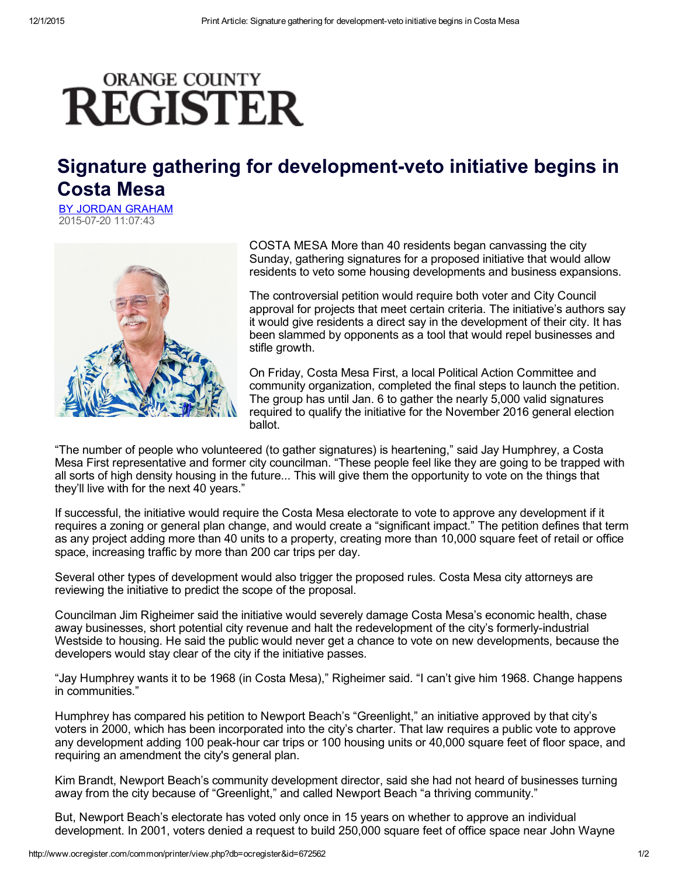## **ORANGE COUNTY REGISTER**

## Signature gathering for development-veto initiative begins in Costa Mesa

BY JORDAN [GRAHAM](mailto:) 20150720 11:07:43



COSTA MESA More than 40 residents began canvassing the city Sunday, gathering signatures for a proposed initiative that would allow residents to veto some housing developments and business expansions.

The controversial petition would require both voter and City Council approval for projects that meet certain criteria. The initiative's authors say it would give residents a direct say in the development of their city. It has been slammed by opponents as a tool that would repel businesses and stifle growth.

On Friday, Costa Mesa First, a local Political Action Committee and community organization, completed the final steps to launch the petition. The group has until Jan. 6 to gather the nearly 5,000 valid signatures required to qualify the initiative for the November 2016 general election ballot.

"The number of people who volunteered (to gather signatures) is heartening," said Jay Humphrey, a Costa Mesa First representative and former city councilman. "These people feel like they are going to be trapped with all sorts of high density housing in the future... This will give them the opportunity to vote on the things that they'll live with for the next 40 years."

If successful, the initiative would require the Costa Mesa electorate to vote to approve any development if it requires a zoning or general plan change, and would create a "significant impact." The petition defines that term as any project adding more than 40 units to a property, creating more than 10,000 square feet of retail or office space, increasing traffic by more than 200 car trips per day.

Several other types of development would also trigger the proposed rules. Costa Mesa city attorneys are reviewing the initiative to predict the scope of the proposal.

Councilman Jim Righeimer said the initiative would severely damage Costa Mesa's economic health, chase away businesses, short potential city revenue and halt the redevelopment of the city's formerly-industrial Westside to housing. He said the public would never get a chance to vote on new developments, because the developers would stay clear of the city if the initiative passes.

"Jay Humphrey wants it to be 1968 (in Costa Mesa)," Righeimer said. "I can't give him 1968. Change happens in communities."

Humphrey has compared his petition to Newport Beach's "Greenlight," an initiative approved by that city's voters in 2000, which has been incorporated into the city's charter. That law requires a public vote to approve any development adding 100 peak-hour car trips or 100 housing units or 40,000 square feet of floor space, and requiring an amendment the city's general plan.

Kim Brandt, Newport Beach's community development director, said she had not heard of businesses turning away from the city because of "Greenlight," and called Newport Beach "a thriving community."

But, Newport Beach's electorate has voted only once in 15 years on whether to approve an individual development. In 2001, voters denied a request to build 250,000 square feet of office space near John Wayne